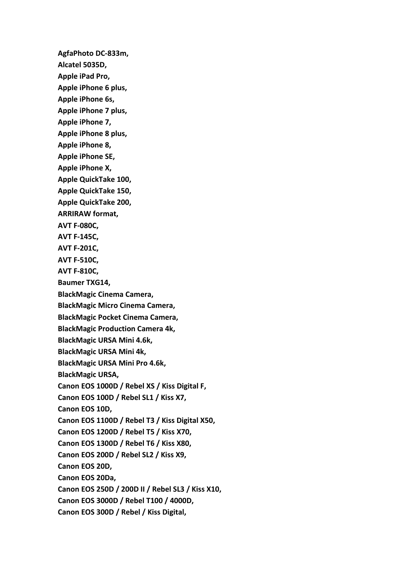**AgfaPhoto DC-833m, Alcatel 5035D, Apple iPad Pro, Apple iPhone 6 plus, Apple iPhone 6s, Apple iPhone 7 plus, Apple iPhone 7, Apple iPhone 8 plus, Apple iPhone 8, Apple iPhone SE, Apple iPhone X, Apple QuickTake 100, Apple QuickTake 150, Apple QuickTake 200, ARRIRAW format, AVT F-080C, AVT F-145C, AVT F-201C, AVT F-510C, AVT F-810C, Baumer TXG14, BlackMagic Cinema Camera, BlackMagic Micro Cinema Camera, BlackMagic Pocket Cinema Camera, BlackMagic Production Camera 4k, BlackMagic URSA Mini 4.6k, BlackMagic URSA Mini 4k, BlackMagic URSA Mini Pro 4.6k, BlackMagic URSA, Canon EOS 1000D / Rebel XS / Kiss Digital F, Canon EOS 100D / Rebel SL1 / Kiss X7, Canon EOS 10D, Canon EOS 1100D / Rebel T3 / Kiss Digital X50, Canon EOS 1200D / Rebel T5 / Kiss X70, Canon EOS 1300D / Rebel T6 / Kiss X80, Canon EOS 200D / Rebel SL2 / Kiss X9, Canon EOS 20D, Canon EOS 20Da, Canon EOS 250D / 200D II / Rebel SL3 / Kiss X10, Canon EOS 3000D / Rebel T100 / 4000D, Canon EOS 300D / Rebel / Kiss Digital,**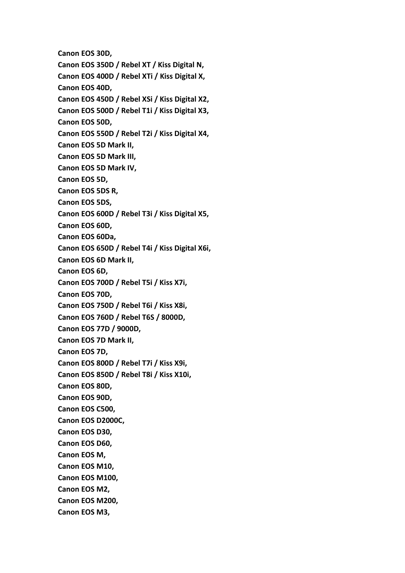**Canon EOS 30D, Canon EOS 350D / Rebel XT / Kiss Digital N, Canon EOS 400D / Rebel XTi / Kiss Digital X, Canon EOS 40D, Canon EOS 450D / Rebel XSi / Kiss Digital X2, Canon EOS 500D / Rebel T1i / Kiss Digital X3, Canon EOS 50D, Canon EOS 550D / Rebel T2i / Kiss Digital X4, Canon EOS 5D Mark II, Canon EOS 5D Mark III, Canon EOS 5D Mark IV, Canon EOS 5D, Canon EOS 5DS R, Canon EOS 5DS, Canon EOS 600D / Rebel T3i / Kiss Digital X5, Canon EOS 60D, Canon EOS 60Da, Canon EOS 650D / Rebel T4i / Kiss Digital X6i, Canon EOS 6D Mark II, Canon EOS 6D, Canon EOS 700D / Rebel T5i / Kiss X7i, Canon EOS 70D, Canon EOS 750D / Rebel T6i / Kiss X8i, Canon EOS 760D / Rebel T6S / 8000D, Canon EOS 77D / 9000D, Canon EOS 7D Mark II, Canon EOS 7D, Canon EOS 800D / Rebel T7i / Kiss X9i, Canon EOS 850D / Rebel T8i / Kiss X10i, Canon EOS 80D, Canon EOS 90D, Canon EOS C500, Canon EOS D2000C, Canon EOS D30, Canon EOS D60, Canon EOS M, Canon EOS M10, Canon EOS M100, Canon EOS M2, Canon EOS M200, Canon EOS M3,**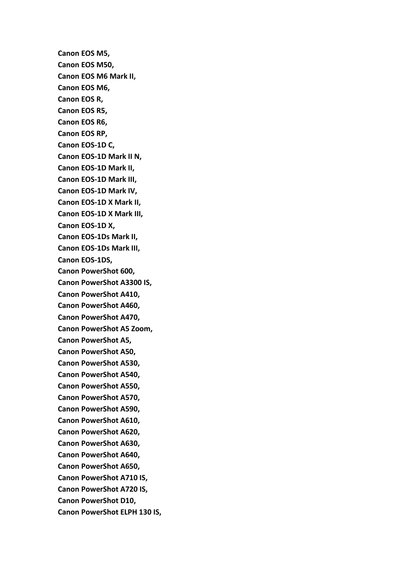**Canon EOS M5, Canon EOS M50, Canon EOS M6 Mark II, Canon EOS M6, Canon EOS R, Canon EOS R5, Canon EOS R6, Canon EOS RP, Canon EOS-1D C, Canon EOS-1D Mark II N, Canon EOS-1D Mark II, Canon EOS-1D Mark III, Canon EOS-1D Mark IV, Canon EOS-1D X Mark II, Canon EOS-1D X Mark III, Canon EOS-1D X, Canon EOS-1Ds Mark II, Canon EOS-1Ds Mark III, Canon EOS-1DS, Canon PowerShot 600, Canon PowerShot A3300 IS, Canon PowerShot A410, Canon PowerShot A460, Canon PowerShot A470, Canon PowerShot A5 Zoom, Canon PowerShot A5, Canon PowerShot A50, Canon PowerShot A530, Canon PowerShot A540, Canon PowerShot A550, Canon PowerShot A570, Canon PowerShot A590, Canon PowerShot A610, Canon PowerShot A620, Canon PowerShot A630, Canon PowerShot A640, Canon PowerShot A650, Canon PowerShot A710 IS, Canon PowerShot A720 IS, Canon PowerShot D10, Canon PowerShot ELPH 130 IS,**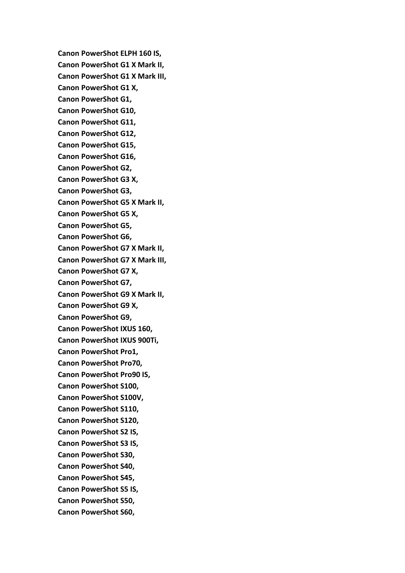**Canon PowerShot ELPH 160 IS, Canon PowerShot G1 X Mark II, Canon PowerShot G1 X Mark III, Canon PowerShot G1 X, Canon PowerShot G1, Canon PowerShot G10, Canon PowerShot G11, Canon PowerShot G12, Canon PowerShot G15, Canon PowerShot G16, Canon PowerShot G2, Canon PowerShot G3 X, Canon PowerShot G3, Canon PowerShot G5 X Mark II, Canon PowerShot G5 X, Canon PowerShot G5, Canon PowerShot G6, Canon PowerShot G7 X Mark II, Canon PowerShot G7 X Mark III, Canon PowerShot G7 X, Canon PowerShot G7, Canon PowerShot G9 X Mark II, Canon PowerShot G9 X, Canon PowerShot G9, Canon PowerShot IXUS 160, Canon PowerShot IXUS 900Ti, Canon PowerShot Pro1, Canon PowerShot Pro70, Canon PowerShot Pro90 IS, Canon PowerShot S100, Canon PowerShot S100V, Canon PowerShot S110, Canon PowerShot S120, Canon PowerShot S2 IS, Canon PowerShot S3 IS, Canon PowerShot S30, Canon PowerShot S40, Canon PowerShot S45, Canon PowerShot S5 IS, Canon PowerShot S50, Canon PowerShot S60,**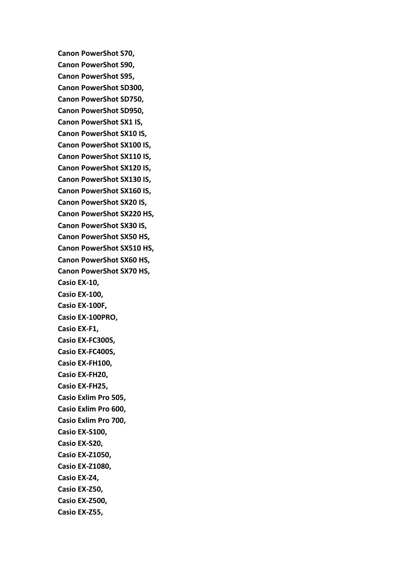**Canon PowerShot S70, Canon PowerShot S90, Canon PowerShot S95, Canon PowerShot SD300, Canon PowerShot SD750, Canon PowerShot SD950, Canon PowerShot SX1 IS, Canon PowerShot SX10 IS, Canon PowerShot SX100 IS, Canon PowerShot SX110 IS, Canon PowerShot SX120 IS, Canon PowerShot SX130 IS, Canon PowerShot SX160 IS, Canon PowerShot SX20 IS, Canon PowerShot SX220 HS, Canon PowerShot SX30 IS, Canon PowerShot SX50 HS, Canon PowerShot SX510 HS, Canon PowerShot SX60 HS, Canon PowerShot SX70 HS, Casio EX-10, Casio EX-100, Casio EX-100F, Casio EX-100PRO, Casio EX-F1, Casio EX-FC300S, Casio EX-FC400S, Casio EX-FH100, Casio EX-FH20, Casio EX-FH25, Casio Exlim Pro 505, Casio Exlim Pro 600, Casio Exlim Pro 700, Casio EX-S100, Casio EX-S20, Casio EX-Z1050, Casio EX-Z1080, Casio EX-Z4, Casio EX-Z50, Casio EX-Z500, Casio EX-Z55,**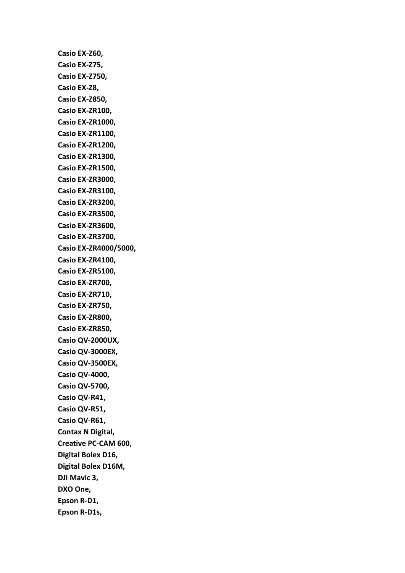**Casio EX-Z60, Casio EX-Z75, Casio EX-Z750, Casio EX-Z8, Casio EX-Z850, Casio EX-ZR100, Casio EX-ZR1000, Casio EX-ZR1100, Casio EX-ZR1200, Casio EX-ZR1300, Casio EX-ZR1500, Casio EX-ZR3000, Casio EX-ZR3100, Casio EX-ZR3200, Casio EX-ZR3500, Casio EX-ZR3600, Casio EX-ZR3700, Casio EX-ZR4000/5000, Casio EX-ZR4100, Casio EX-ZR5100, Casio EX-ZR700, Casio EX-ZR710, Casio EX-ZR750, Casio EX-ZR800, Casio EX-ZR850, Casio QV-2000UX, Casio QV-3000EX, Casio QV-3500EX, Casio QV-4000, Casio QV-5700, Casio QV-R41, Casio QV-R51, Casio QV-R61, Contax N Digital, Creative PC-CAM 600, Digital Bolex D16, Digital Bolex D16M, DJI Mavic 3, DXO One, Epson R-D1, Epson R-D1s,**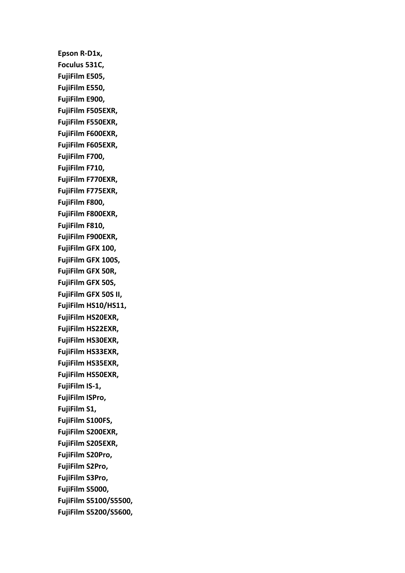**Epson R-D1x, Foculus 531C, FujiFilm E505, FujiFilm E550, FujiFilm E900, FujiFilm F505EXR, FujiFilm F550EXR, FujiFilm F600EXR, FujiFilm F605EXR, FujiFilm F700, FujiFilm F710, FujiFilm F770EXR, FujiFilm F775EXR, FujiFilm F800, FujiFilm F800EXR, FujiFilm F810, FujiFilm F900EXR, FujiFilm GFX 100, FujiFilm GFX 100S, FujiFilm GFX 50R, FujiFilm GFX 50S, FujiFilm GFX 50S II, FujiFilm HS10/HS11, FujiFilm HS20EXR, FujiFilm HS22EXR, FujiFilm HS30EXR, FujiFilm HS33EXR, FujiFilm HS35EXR, FujiFilm HS50EXR, FujiFilm IS-1, FujiFilm ISPro, FujiFilm S1, FujiFilm S100FS, FujiFilm S200EXR, FujiFilm S205EXR, FujiFilm S20Pro, FujiFilm S2Pro, FujiFilm S3Pro, FujiFilm S5000, FujiFilm S5100/S5500, FujiFilm S5200/S5600,**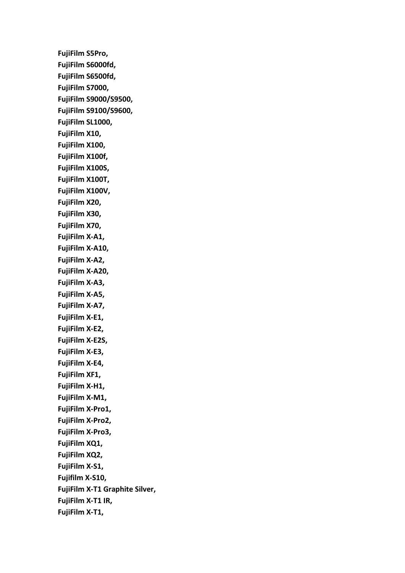**FujiFilm S5Pro, FujiFilm S6000fd, FujiFilm S6500fd, FujiFilm S7000, FujiFilm S9000/S9500, FujiFilm S9100/S9600, FujiFilm SL1000, FujiFilm X10, FujiFilm X100, FujiFilm X100f, FujiFilm X100S, FujiFilm X100T, FujiFilm X100V, FujiFilm X20, FujiFilm X30, FujiFilm X70, FujiFilm X-A1, FujiFilm X-A10, FujiFilm X-A2, FujiFilm X-A20, FujiFilm X-A3, FujiFilm X-A5, FujiFilm X-A7, FujiFilm X-E1, FujiFilm X-E2, FujiFilm X-E2S, FujiFilm X-E3, FujiFilm X-E4, FujiFilm XF1, FujiFilm X-H1, FujiFilm X-M1, FujiFilm X-Pro1, FujiFilm X-Pro2, FujiFilm X-Pro3, FujiFilm XQ1, FujiFilm XQ2, FujiFilm X-S1, Fujifilm X-S10, FujiFilm X-T1 Graphite Silver, FujiFilm X-T1 IR, FujiFilm X-T1,**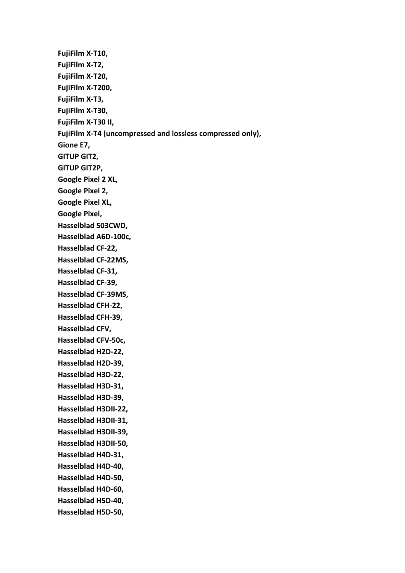**FujiFilm X-T10, FujiFilm X-T2, FujiFilm X-T20, FujiFilm X-T200, FujiFilm X-T3, FujiFilm X-T30, FujiFilm X-T30 II, FujiFilm X-T4 (uncompressed and lossless compressed only), Gione E7, GITUP GIT2, GITUP GIT2P, Google Pixel 2 XL, Google Pixel 2, Google Pixel XL, Google Pixel, Hasselblad 503CWD, Hasselblad A6D-100c, Hasselblad CF-22, Hasselblad CF-22MS, Hasselblad CF-31, Hasselblad CF-39, Hasselblad CF-39MS, Hasselblad CFH-22, Hasselblad CFH-39, Hasselblad CFV, Hasselblad CFV-50c, Hasselblad H2D-22, Hasselblad H2D-39, Hasselblad H3D-22, Hasselblad H3D-31, Hasselblad H3D-39, Hasselblad H3DII-22, Hasselblad H3DII-31, Hasselblad H3DII-39, Hasselblad H3DII-50, Hasselblad H4D-31, Hasselblad H4D-40, Hasselblad H4D-50, Hasselblad H4D-60, Hasselblad H5D-40, Hasselblad H5D-50,**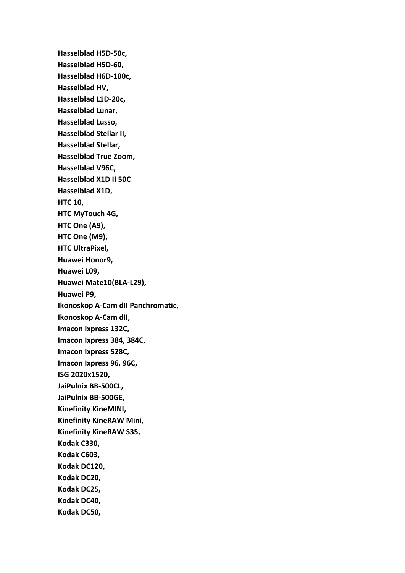**Hasselblad H5D-50c, Hasselblad H5D-60, Hasselblad H6D-100c, Hasselblad HV, Hasselblad L1D-20c, Hasselblad Lunar, Hasselblad Lusso, Hasselblad Stellar II, Hasselblad Stellar, Hasselblad True Zoom, Hasselblad V96C, Hasselblad X1D II 50C Hasselblad X1D, HTC 10, HTC MyTouch 4G, HTC One (A9), HTC One (M9), HTC UltraPixel, Huawei Honor9, Huawei L09, Huawei Mate10(BLA-L29), Huawei P9, Ikonoskop A-Cam dII Panchromatic, Ikonoskop A-Cam dII, Imacon Ixpress 132C, Imacon Ixpress 384, 384C, Imacon Ixpress 528C, Imacon Ixpress 96, 96C, ISG 2020x1520, JaiPulnix BB-500CL, JaiPulnix BB-500GE, Kinefinity KineMINI, Kinefinity KineRAW Mini, Kinefinity KineRAW S35, Kodak C330, Kodak C603, Kodak DC120, Kodak DC20, Kodak DC25, Kodak DC40, Kodak DC50,**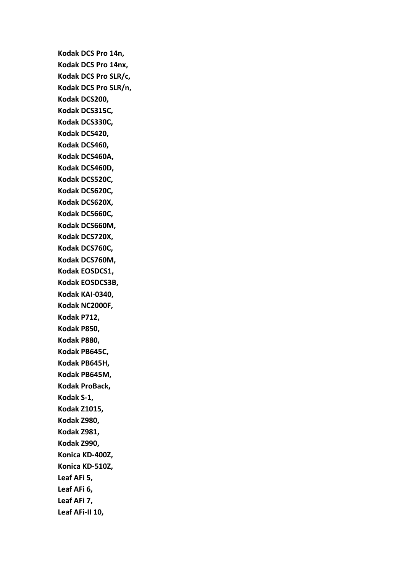**Kodak DCS Pro 14n, Kodak DCS Pro 14nx, Kodak DCS Pro SLR/c, Kodak DCS Pro SLR/n, Kodak DCS200, Kodak DCS315C, Kodak DCS330C, Kodak DCS420, Kodak DCS460, Kodak DCS460A, Kodak DCS460D, Kodak DCS520C, Kodak DCS620C, Kodak DCS620X, Kodak DCS660C, Kodak DCS660M, Kodak DCS720X, Kodak DCS760C, Kodak DCS760M, Kodak EOSDCS1, Kodak EOSDCS3B, Kodak KAI-0340, Kodak NC2000F, Kodak P712, Kodak P850, Kodak P880, Kodak PB645C, Kodak PB645H, Kodak PB645M, Kodak ProBack, Kodak S-1, Kodak Z1015, Kodak Z980, Kodak Z981, Kodak Z990, Konica KD-400Z, Konica KD-510Z, Leaf AFi 5, Leaf AFi 6, Leaf AFi 7, Leaf AFi-II 10,**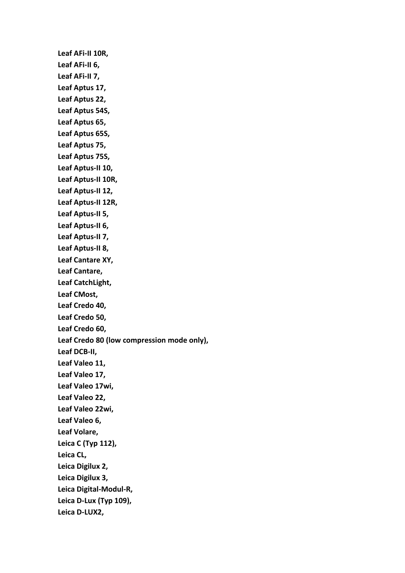**Leaf AFi-II 10R, Leaf AFi-II 6, Leaf AFi-II 7, Leaf Aptus 17, Leaf Aptus 22, Leaf Aptus 54S, Leaf Aptus 65, Leaf Aptus 65S, Leaf Aptus 75, Leaf Aptus 75S, Leaf Aptus-II 10, Leaf Aptus-II 10R, Leaf Aptus-II 12, Leaf Aptus-II 12R, Leaf Aptus-II 5, Leaf Aptus-II 6, Leaf Aptus-II 7, Leaf Aptus-II 8, Leaf Cantare XY, Leaf Cantare, Leaf CatchLight, Leaf CMost, Leaf Credo 40, Leaf Credo 50, Leaf Credo 60, Leaf Credo 80 (low compression mode only), Leaf DCB-II, Leaf Valeo 11, Leaf Valeo 17, Leaf Valeo 17wi, Leaf Valeo 22, Leaf Valeo 22wi, Leaf Valeo 6, Leaf Volare, Leica C (Typ 112), Leica CL, Leica Digilux 2, Leica Digilux 3, Leica Digital-Modul-R, Leica D-Lux (Typ 109), Leica D-LUX2,**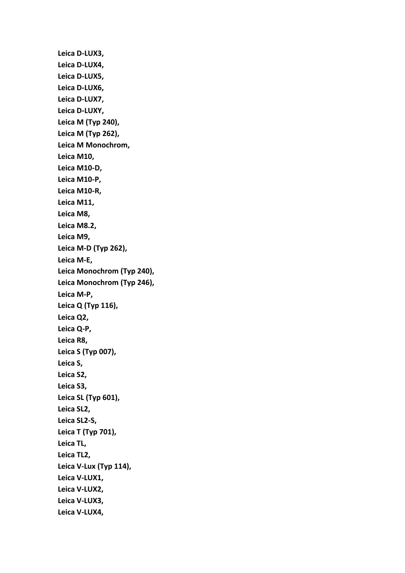**Leica D-LUX3, Leica D-LUX4, Leica D-LUX5, Leica D-LUX6, Leica D-LUX7, Leica D-LUXY, Leica M (Typ 240), Leica M (Typ 262), Leica M Monochrom, Leica M10, Leica M10-D, Leica M10-P, Leica M10-R, Leica M11, Leica M8, Leica M8.2, Leica M9, Leica M-D (Typ 262), Leica M-E, Leica Monochrom (Typ 240), Leica Monochrom (Typ 246), Leica M-P, Leica Q (Typ 116), Leica Q2, Leica Q-P, Leica R8, Leica S (Typ 007), Leica S, Leica S2, Leica S3, Leica SL (Typ 601), Leica SL2, Leica SL2-S, Leica T (Typ 701), Leica TL, Leica TL2, Leica V-Lux (Typ 114), Leica V-LUX1, Leica V-LUX2, Leica V-LUX3, Leica V-LUX4,**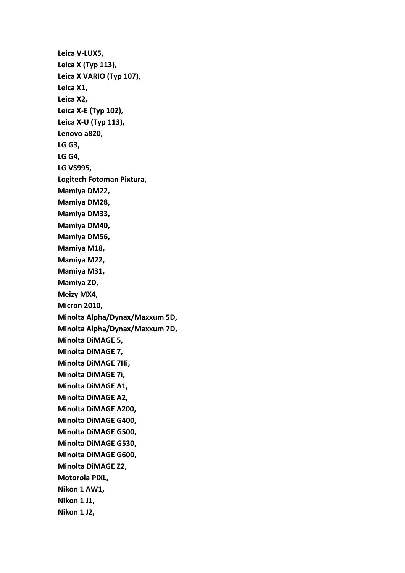**Leica V-LUX5, Leica X (Typ 113), Leica X VARIO (Typ 107), Leica X1, Leica X2, Leica X-E (Typ 102), Leica X-U (Typ 113), Lenovo a820, LG G3, LG G4, LG VS995, Logitech Fotoman Pixtura, Mamiya DM22, Mamiya DM28, Mamiya DM33, Mamiya DM40, Mamiya DM56, Mamiya M18, Mamiya M22, Mamiya M31, Mamiya ZD, Meizy MX4, Micron 2010, Minolta Alpha/Dynax/Maxxum 5D, Minolta Alpha/Dynax/Maxxum 7D, Minolta DiMAGE 5, Minolta DiMAGE 7, Minolta DiMAGE 7Hi, Minolta DiMAGE 7i, Minolta DiMAGE A1, Minolta DiMAGE A2, Minolta DiMAGE A200, Minolta DiMAGE G400, Minolta DiMAGE G500, Minolta DiMAGE G530, Minolta DiMAGE G600, Minolta DiMAGE Z2, Motorola PIXL, Nikon 1 AW1, Nikon 1 J1, Nikon 1 J2,**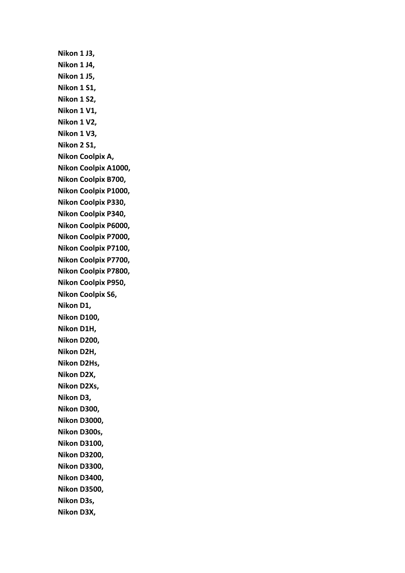**Nikon 1 J3, Nikon 1 J4, Nikon 1 J5, Nikon 1 S1, Nikon 1 S2, Nikon 1 V1, Nikon 1 V2, Nikon 1 V3, Nikon 2 S1, Nikon Coolpix A, Nikon Coolpix A1000, Nikon Coolpix B700, Nikon Coolpix P1000, Nikon Coolpix P330, Nikon Coolpix P340, Nikon Coolpix P6000, Nikon Coolpix P7000, Nikon Coolpix P7100, Nikon Coolpix P7700, Nikon Coolpix P7800, Nikon Coolpix P950, Nikon Coolpix S6, Nikon D1, Nikon D100, Nikon D1H, Nikon D200, Nikon D2H, Nikon D2Hs, Nikon D2X, Nikon D2Xs, Nikon D3, Nikon D300, Nikon D3000, Nikon D300s, Nikon D3100, Nikon D3200, Nikon D3300, Nikon D3400, Nikon D3500, Nikon D3s, Nikon D3X,**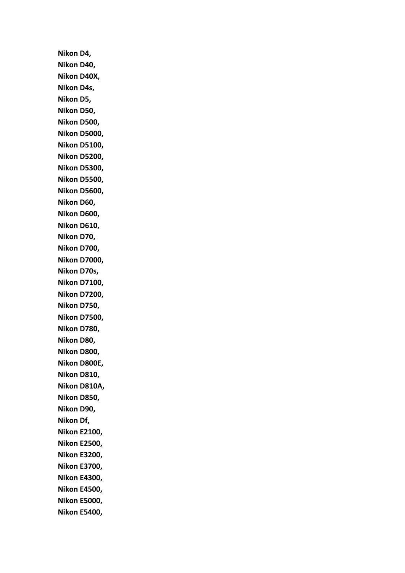**Nikon D4, Nikon D40, Nikon D40X, Nikon D4s, Nikon D5, Nikon D50, Nikon D500, Nikon D5000, Nikon D5100, Nikon D5200, Nikon D5300, Nikon D5500, Nikon D5600, Nikon D60, Nikon D600, Nikon D610, Nikon D70, Nikon D700, Nikon D7000, Nikon D70s, Nikon D7100, Nikon D7200, Nikon D750, Nikon D7500, Nikon D780, Nikon D80, Nikon D800, Nikon D800E, Nikon D810, Nikon D810A, Nikon D850, Nikon D90, Nikon Df, Nikon E2100, Nikon E2500, Nikon E3200, Nikon E3700, Nikon E4300, Nikon E4500, Nikon E5000, Nikon E5400,**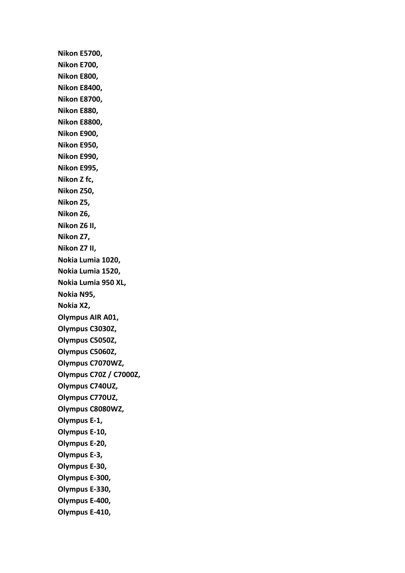**Nikon E5700, Nikon E700, Nikon E800, Nikon E8400, Nikon E8700, Nikon E880, Nikon E8800, Nikon E900, Nikon E950, Nikon E990, Nikon E995, Nikon Z fc, Nikon Z50, Nikon Z5, Nikon Z6, Nikon Z6 II, Nikon Z7, Nikon Z7 II, Nokia Lumia 1020, Nokia Lumia 1520, Nokia Lumia 950 XL, Nokia N95, Nokia X2, Olympus AIR A01, Olympus C3030Z, Olympus C5050Z, Olympus C5060Z, Olympus C7070WZ, Olympus C70Z / C7000Z, Olympus C740UZ, Olympus C770UZ, Olympus C8080WZ, Olympus E-1, Olympus E-10, Olympus E-20, Olympus E-3, Olympus E-30, Olympus E-300, Olympus E-330, Olympus E-400, Olympus E-410,**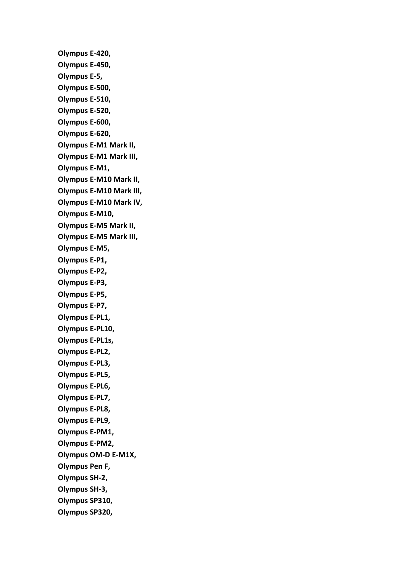**Olympus E-420, Olympus E-450, Olympus E-5, Olympus E-500, Olympus E-510, Olympus E-520, Olympus E-600, Olympus E-620, Olympus E-M1 Mark II, Olympus E-M1 Mark III, Olympus E-M1, Olympus E-M10 Mark II, Olympus E-M10 Mark III, Olympus E-M10 Mark IV, Olympus E-M10, Olympus E-M5 Mark II, Olympus E-M5 Mark III, Olympus E-M5, Olympus E-P1, Olympus E-P2, Olympus E-P3, Olympus E-P5, Olympus E-P7, Olympus E-PL1, Olympus E-PL10, Olympus E-PL1s, Olympus E-PL2, Olympus E-PL3, Olympus E-PL5, Olympus E-PL6, Olympus E-PL7, Olympus E-PL8, Olympus E-PL9, Olympus E-PM1, Olympus E-PM2, Olympus OM-D E-M1X, Olympus Pen F, Olympus SH-2, Olympus SH-3, Olympus SP310, Olympus SP320,**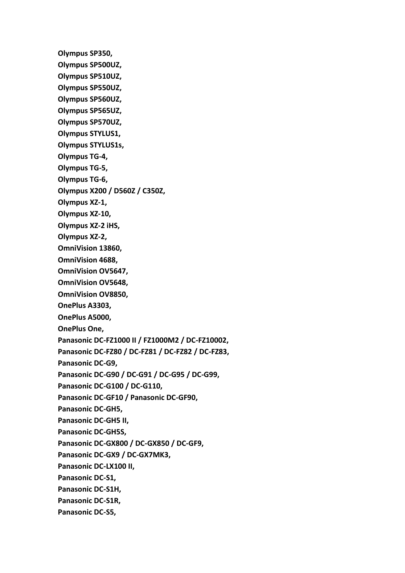**Olympus SP350, Olympus SP500UZ, Olympus SP510UZ, Olympus SP550UZ, Olympus SP560UZ, Olympus SP565UZ, Olympus SP570UZ, Olympus STYLUS1, Olympus STYLUS1s, Olympus TG-4, Olympus TG-5, Olympus TG-6, Olympus X200 / D560Z / C350Z, Olympus XZ-1, Olympus XZ-10, Olympus XZ-2 iHS, Olympus XZ-2, OmniVision 13860, OmniVision 4688, OmniVision OV5647, OmniVision OV5648, OmniVision OV8850, OnePlus A3303, OnePlus A5000, OnePlus One, Panasonic DC-FZ1000 II / FZ1000M2 / DC-FZ10002, Panasonic DC-FZ80 / DC-FZ81 / DC-FZ82 / DC-FZ83, Panasonic DC-G9, Panasonic DC-G90 / DC-G91 / DC-G95 / DC-G99, Panasonic DC-G100 / DC-G110, Panasonic DC-GF10 / Panasonic DC-GF90, Panasonic DC-GH5, Panasonic DC-GH5 II, Panasonic DC-GH5S, Panasonic DC-GX800 / DC-GX850 / DC-GF9, Panasonic DC-GX9 / DC-GX7MK3, Panasonic DC-LX100 II, Panasonic DC-S1, Panasonic DC-S1H, Panasonic DC-S1R, Panasonic DC-S5,**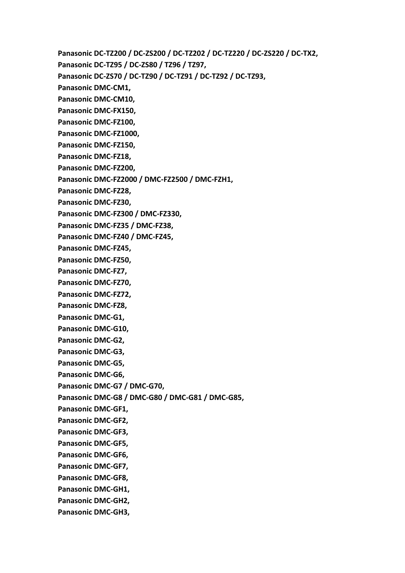**Panasonic DC-TZ200 / DC-ZS200 / DC-TZ202 / DC-TZ220 / DC-ZS220 / DC-TX2, Panasonic DC-TZ95 / DC-ZS80 / TZ96 / TZ97, Panasonic DC-ZS70 / DC-TZ90 / DC-TZ91 / DC-TZ92 / DC-TZ93, Panasonic DMC-CM1, Panasonic DMC-CM10, Panasonic DMC-FX150, Panasonic DMC-FZ100, Panasonic DMC-FZ1000, Panasonic DMC-FZ150, Panasonic DMC-FZ18, Panasonic DMC-FZ200, Panasonic DMC-FZ2000 / DMC-FZ2500 / DMC-FZH1, Panasonic DMC-FZ28, Panasonic DMC-FZ30, Panasonic DMC-FZ300 / DMC-FZ330, Panasonic DMC-FZ35 / DMC-FZ38, Panasonic DMC-FZ40 / DMC-FZ45, Panasonic DMC-FZ45, Panasonic DMC-FZ50, Panasonic DMC-FZ7, Panasonic DMC-FZ70, Panasonic DMC-FZ72, Panasonic DMC-FZ8, Panasonic DMC-G1, Panasonic DMC-G10, Panasonic DMC-G2, Panasonic DMC-G3, Panasonic DMC-G5, Panasonic DMC-G6, Panasonic DMC-G7 / DMC-G70, Panasonic DMC-G8 / DMC-G80 / DMC-G81 / DMC-G85, Panasonic DMC-GF1, Panasonic DMC-GF2, Panasonic DMC-GF3, Panasonic DMC-GF5, Panasonic DMC-GF6, Panasonic DMC-GF7, Panasonic DMC-GF8, Panasonic DMC-GH1, Panasonic DMC-GH2, Panasonic DMC-GH3,**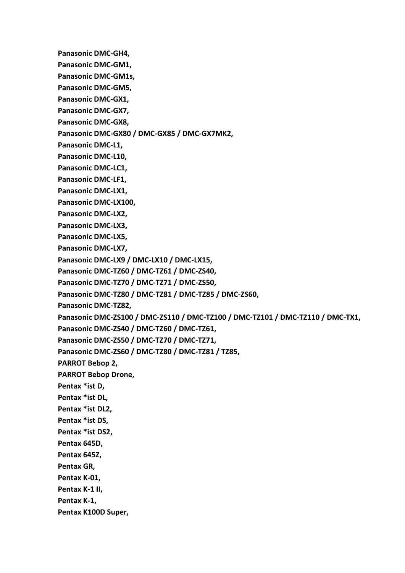**Panasonic DMC-GH4,**

**Panasonic DMC-GM1,**

**Panasonic DMC-GM1s,**

**Panasonic DMC-GM5,**

**Panasonic DMC-GX1,**

**Panasonic DMC-GX7,**

**Panasonic DMC-GX8,**

**Panasonic DMC-GX80 / DMC-GX85 / DMC-GX7MK2,**

**Panasonic DMC-L1,**

**Panasonic DMC-L10,**

**Panasonic DMC-LC1,**

**Panasonic DMC-LF1,**

**Panasonic DMC-LX1,**

**Panasonic DMC-LX100,**

**Panasonic DMC-LX2,**

**Panasonic DMC-LX3,**

**Panasonic DMC-LX5,**

**Panasonic DMC-LX7,**

**Panasonic DMC-LX9 / DMC-LX10 / DMC-LX15,**

**Panasonic DMC-TZ60 / DMC-TZ61 / DMC-ZS40,**

**Panasonic DMC-TZ70 / DMC-TZ71 / DMC-ZS50,**

**Panasonic DMC-TZ80 / DMC-TZ81 / DMC-TZ85 / DMC-ZS60,**

**Panasonic DMC-TZ82,**

**Panasonic DMC-ZS100 / DMC-ZS110 / DMC-TZ100 / DMC-TZ101 / DMC-TZ110 / DMC-TX1,**

**Panasonic DMC-ZS40 / DMC-TZ60 / DMC-TZ61,**

**Panasonic DMC-ZS50 / DMC-TZ70 / DMC-TZ71,**

**Panasonic DMC-ZS60 / DMC-TZ80 / DMC-TZ81 / TZ85,**

**PARROT Bebop 2,**

**PARROT Bebop Drone,**

**Pentax \*ist D,**

**Pentax \*ist DL,**

**Pentax \*ist DL2,**

**Pentax \*ist DS,**

**Pentax \*ist DS2,**

**Pentax 645D,**

**Pentax 645Z,**

**Pentax GR,**

**Pentax K-01,**

**Pentax K-1 II,**

**Pentax K-1,**

**Pentax K100D Super,**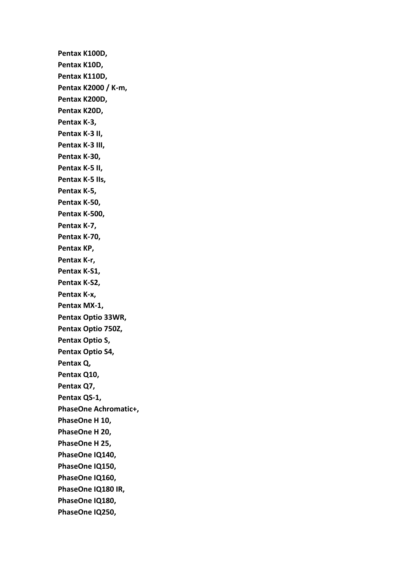**Pentax K100D, Pentax K10D, Pentax K110D, Pentax K2000 / K-m, Pentax K200D, Pentax K20D, Pentax K-3, Pentax K-3 II, Pentax K-3 III, Pentax K-30, Pentax K-5 II, Pentax K-5 IIs, Pentax K-5, Pentax K-50, Pentax K-500, Pentax K-7, Pentax K-70, Pentax KP, Pentax K-r, Pentax K-S1, Pentax K-S2, Pentax K-x, Pentax MX-1, Pentax Optio 33WR, Pentax Optio 750Z, Pentax Optio S, Pentax Optio S4, Pentax Q, Pentax Q10, Pentax Q7, Pentax QS-1, PhaseOne Achromatic+, PhaseOne H 10, PhaseOne H 20, PhaseOne H 25, PhaseOne IQ140, PhaseOne IQ150, PhaseOne IQ160, PhaseOne IQ180 IR, PhaseOne IQ180, PhaseOne IQ250,**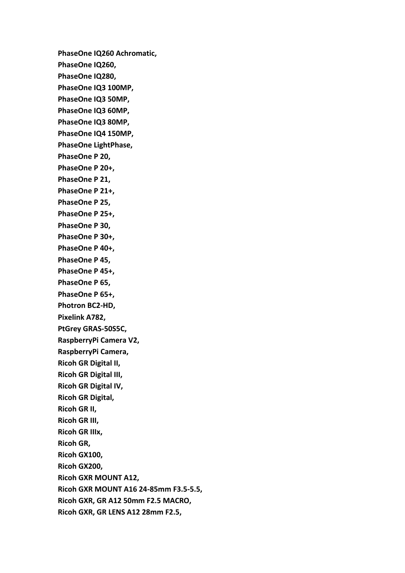**PhaseOne IQ260 Achromatic, PhaseOne IQ260, PhaseOne IQ280, PhaseOne IQ3 100MP, PhaseOne IQ3 50MP, PhaseOne IQ3 60MP, PhaseOne IQ3 80MP, PhaseOne IQ4 150MP, PhaseOne LightPhase, PhaseOne P 20, PhaseOne P 20+, PhaseOne P 21, PhaseOne P 21+, PhaseOne P 25, PhaseOne P 25+, PhaseOne P 30, PhaseOne P 30+, PhaseOne P 40+, PhaseOne P 45, PhaseOne P 45+, PhaseOne P 65, PhaseOne P 65+, Photron BC2-HD, Pixelink A782, PtGrey GRAS-50S5C, RaspberryPi Camera V2, RaspberryPi Camera, Ricoh GR Digital II, Ricoh GR Digital III, Ricoh GR Digital IV, Ricoh GR Digital, Ricoh GR II, Ricoh GR III, Ricoh GR IIIx, Ricoh GR, Ricoh GX100, Ricoh GX200, Ricoh GXR MOUNT A12, Ricoh GXR MOUNT A16 24-85mm F3.5-5.5, Ricoh GXR, GR A12 50mm F2.5 MACRO, Ricoh GXR, GR LENS A12 28mm F2.5,**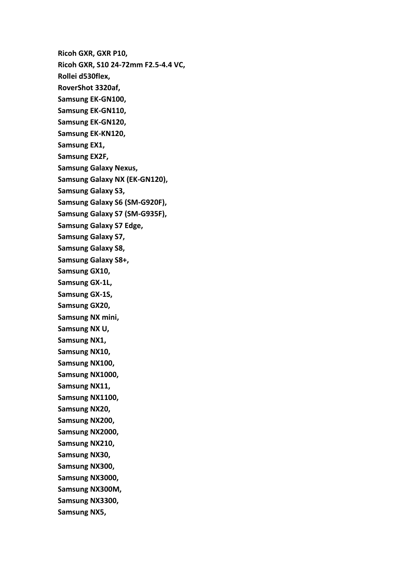**Ricoh GXR, GXR P10, Ricoh GXR, S10 24-72mm F2.5-4.4 VC, Rollei d530flex, RoverShot 3320af, Samsung EK-GN100, Samsung EK-GN110, Samsung EK-GN120, Samsung EK-KN120, Samsung EX1, Samsung EX2F, Samsung Galaxy Nexus, Samsung Galaxy NX (EK-GN120), Samsung Galaxy S3, Samsung Galaxy S6 (SM-G920F), Samsung Galaxy S7 (SM-G935F), Samsung Galaxy S7 Edge, Samsung Galaxy S7, Samsung Galaxy S8, Samsung Galaxy S8+, Samsung GX10, Samsung GX-1L, Samsung GX-1S, Samsung GX20, Samsung NX mini, Samsung NX U, Samsung NX1, Samsung NX10, Samsung NX100, Samsung NX1000, Samsung NX11, Samsung NX1100, Samsung NX20, Samsung NX200, Samsung NX2000, Samsung NX210, Samsung NX30, Samsung NX300, Samsung NX3000, Samsung NX300M, Samsung NX3300, Samsung NX5,**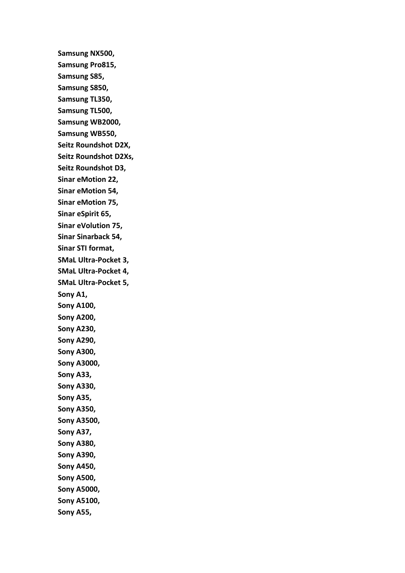**Samsung NX500, Samsung Pro815, Samsung S85, Samsung S850, Samsung TL350, Samsung TL500, Samsung WB2000, Samsung WB550, Seitz Roundshot D2X, Seitz Roundshot D2Xs, Seitz Roundshot D3, Sinar eMotion 22, Sinar eMotion 54, Sinar eMotion 75, Sinar eSpirit 65, Sinar eVolution 75, Sinar Sinarback 54, Sinar STI format, SMaL Ultra-Pocket 3, SMaL Ultra-Pocket 4, SMaL Ultra-Pocket 5, Sony A1, Sony A100, Sony A200, Sony A230, Sony A290, Sony A300, Sony A3000, Sony A33, Sony A330, Sony A35, Sony A350, Sony A3500, Sony A37, Sony A380, Sony A390, Sony A450, Sony A500, Sony A5000, Sony A5100, Sony A55,**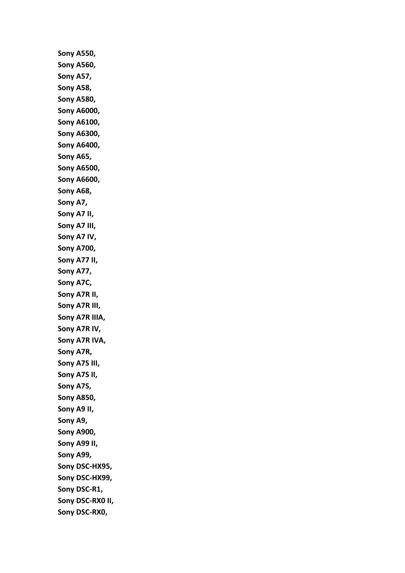**Sony A550, Sony A560, Sony A57, Sony A58, Sony A580, Sony A6000, Sony A6100, Sony A6300, Sony A6400, Sony A65, Sony A6500, Sony A6600, Sony A68, Sony A7, Sony A7 II, Sony A7 III, Sony A7 IV, Sony A700, Sony A77 II, Sony A77, Sony A7C, Sony A7R II, Sony A7R III, Sony A7R IIIA, Sony A7R IV, Sony A7R IVA, Sony A7R, Sony A7S III, Sony A7S II, Sony A7S, Sony A850, Sony A9 II, Sony A9, Sony A900, Sony A99 II, Sony A99, Sony DSC-HX95, Sony DSC-HX99, Sony DSC-R1, Sony DSC-RX0 II, Sony DSC-RX0,**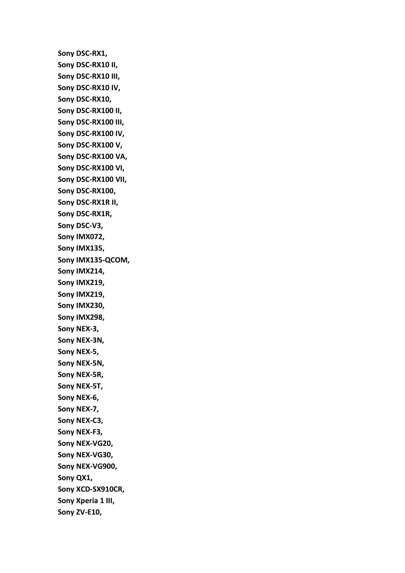**Sony DSC-RX1, Sony DSC-RX10 II, Sony DSC-RX10 III, Sony DSC-RX10 IV, Sony DSC-RX10, Sony DSC-RX100 II, Sony DSC-RX100 III, Sony DSC-RX100 IV, Sony DSC-RX100 V, Sony DSC-RX100 VA, Sony DSC-RX100 VI, Sony DSC-RX100 VII, Sony DSC-RX100, Sony DSC-RX1R II, Sony DSC-RX1R, Sony DSC-V3, Sony IMX072, Sony IMX135, Sony IMX135-QCOM, Sony IMX214, Sony IMX219, Sony IMX219, Sony IMX230, Sony IMX298, Sony NEX-3, Sony NEX-3N, Sony NEX-5, Sony NEX-5N, Sony NEX-5R, Sony NEX-5T, Sony NEX-6, Sony NEX-7, Sony NEX-C3, Sony NEX-F3, Sony NEX-VG20, Sony NEX-VG30, Sony NEX-VG900, Sony QX1, Sony XCD-SX910CR, Sony Xperia 1 III, Sony ZV-E10,**